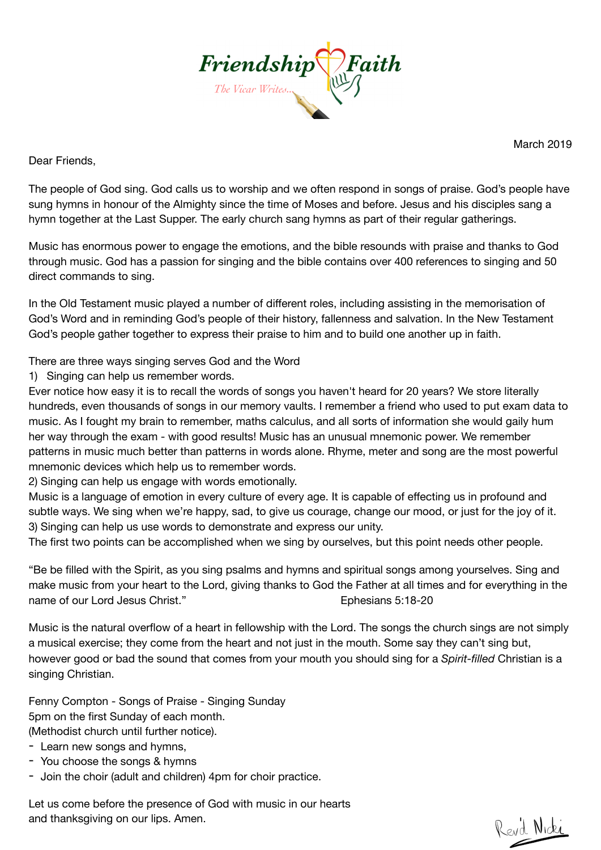

March 2019

Dear Friends,

The people of God sing. God calls us to worship and we often respond in songs of praise. God's people have sung hymns in honour of the Almighty since the time of [Moses](https://www.gotquestions.org/life-Moses.html) and before. Jesus and his disciples sang a hymn together at the Last Supper. The early church sang hymns as part of their regular gatherings.

Music has enormous power to engage the emotions, and the bible resounds with praise and thanks to God through music. God has a passion for singing and the bible contains over 400 references to singing and 50 direct commands to sing.

In the Old Testament music played a number of different roles, including assisting in the memorisation of God's Word and in reminding God's people of their history, fallenness and salvation. In the New Testament God's people gather together to express their praise to him and to build one another up in faith.

There are three ways singing serves God and the Word

1) Singing can help us remember words.

Ever notice how easy it is to recall the words of songs you haven't heard for 20 years? We store literally hundreds, even thousands of songs in our memory vaults. I remember a friend who used to put exam data to music. As I fought my brain to remember, maths calculus, and all sorts of information she would gaily hum her way through the exam - with good results! Music has an unusual mnemonic power. We remember patterns in music much better than patterns in words alone. Rhyme, meter and song are the most powerful mnemonic devices which help us to remember words.

2) Singing can help us engage with words emotionally.

Music is a language of emotion in every culture of every age. It is capable of effecting us in profound and subtle ways. We sing when we're happy, sad, to give us courage, change our mood, or just for the joy of it. 3) Singing can help us use words to demonstrate and express our unity.

The first two points can be accomplished when we sing by ourselves, but this point needs other people.

"Be be filled with the Spirit, as you sing psalms and hymns and spiritual songs among yourselves. Sing and make music from your heart to the Lord, giving thanks to God the Father at all times and for everything in the name of our Lord Jesus Christ." **Ephesians 5:18-20** 

Music is the natural overflow of a heart in fellowship with the Lord. The songs the church sings are not simply a musical exercise; they come from the heart and not just in the mouth. Some say they can't sing but, however good or bad the sound that comes from your mouth you should sing for a *Spirit-filled* Christian is a singing Christian.

Fenny Compton - Songs of Praise - Singing Sunday 5pm on the first Sunday of each month.

(Methodist church until further notice).

- Learn new songs and hymns.
- You choose the songs & hymns
- Join the choir (adult and children) 4pm for choir practice.

Let us come before the presence of God with music in our hearts and thanksgiving on our lips. Amen.

Revil Nicki